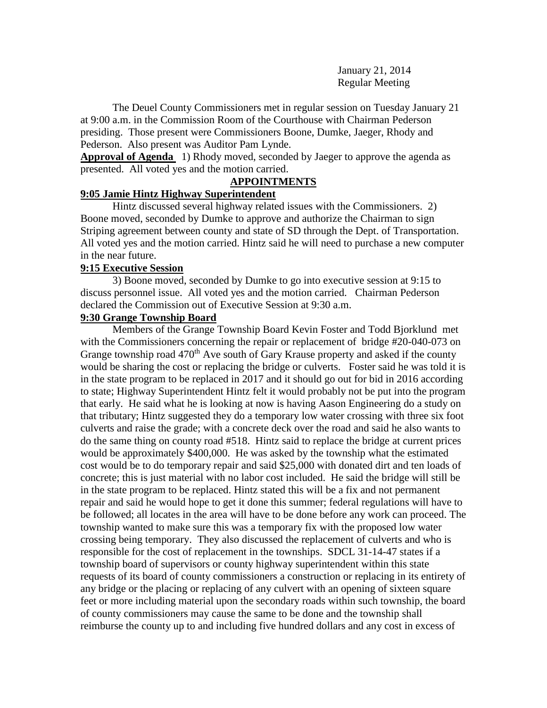January 21, 2014 Regular Meeting

The Deuel County Commissioners met in regular session on Tuesday January 21 at 9:00 a.m. in the Commission Room of the Courthouse with Chairman Pederson presiding. Those present were Commissioners Boone, Dumke, Jaeger, Rhody and Pederson. Also present was Auditor Pam Lynde.

**Approval of Agenda** 1) Rhody moved, seconded by Jaeger to approve the agenda as presented. All voted yes and the motion carried.

## **APPOINTMENTS**

### **9:05 Jamie Hintz Highway Superintendent**

Hintz discussed several highway related issues with the Commissioners. 2) Boone moved, seconded by Dumke to approve and authorize the Chairman to sign Striping agreement between county and state of SD through the Dept. of Transportation. All voted yes and the motion carried. Hintz said he will need to purchase a new computer in the near future.

## **9:15 Executive Session**

3) Boone moved, seconded by Dumke to go into executive session at 9:15 to discuss personnel issue. All voted yes and the motion carried. Chairman Pederson declared the Commission out of Executive Session at 9:30 a.m.

### **9:30 Grange Township Board**

Members of the Grange Township Board Kevin Foster and Todd Bjorklund met with the Commissioners concerning the repair or replacement of bridge #20-040-073 on Grange township road 470<sup>th</sup> Ave south of Gary Krause property and asked if the county would be sharing the cost or replacing the bridge or culverts. Foster said he was told it is in the state program to be replaced in 2017 and it should go out for bid in 2016 according to state; Highway Superintendent Hintz felt it would probably not be put into the program that early. He said what he is looking at now is having Aason Engineering do a study on that tributary; Hintz suggested they do a temporary low water crossing with three six foot culverts and raise the grade; with a concrete deck over the road and said he also wants to do the same thing on county road #518. Hintz said to replace the bridge at current prices would be approximately \$400,000. He was asked by the township what the estimated cost would be to do temporary repair and said \$25,000 with donated dirt and ten loads of concrete; this is just material with no labor cost included. He said the bridge will still be in the state program to be replaced. Hintz stated this will be a fix and not permanent repair and said he would hope to get it done this summer; federal regulations will have to be followed; all locates in the area will have to be done before any work can proceed. The township wanted to make sure this was a temporary fix with the proposed low water crossing being temporary. They also discussed the replacement of culverts and who is responsible for the cost of replacement in the townships. SDCL 31-14-47 states if a township board of supervisors or county highway superintendent within this state requests of its board of county commissioners a construction or replacing in its entirety of any bridge or the placing or replacing of any culvert with an opening of sixteen square feet or more including material upon the secondary roads within such township, the board of county commissioners may cause the same to be done and the township shall reimburse the county up to and including five hundred dollars and any cost in excess of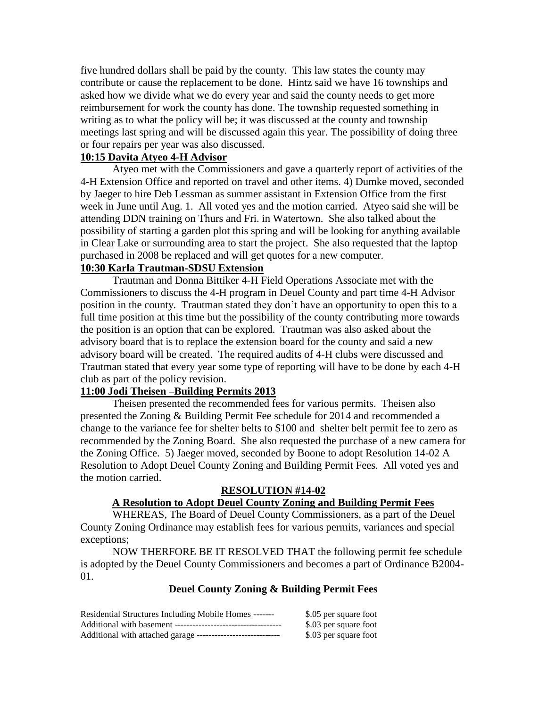five hundred dollars shall be paid by the county. This law states the county may contribute or cause the replacement to be done. Hintz said we have 16 townships and asked how we divide what we do every year and said the county needs to get more reimbursement for work the county has done. The township requested something in writing as to what the policy will be; it was discussed at the county and township meetings last spring and will be discussed again this year. The possibility of doing three or four repairs per year was also discussed.

## **10:15 Davita Atyeo 4-H Advisor**

Atyeo met with the Commissioners and gave a quarterly report of activities of the 4-H Extension Office and reported on travel and other items. 4) Dumke moved, seconded by Jaeger to hire Deb Lessman as summer assistant in Extension Office from the first week in June until Aug. 1. All voted yes and the motion carried. Atyeo said she will be attending DDN training on Thurs and Fri. in Watertown. She also talked about the possibility of starting a garden plot this spring and will be looking for anything available in Clear Lake or surrounding area to start the project. She also requested that the laptop purchased in 2008 be replaced and will get quotes for a new computer.

## **10:30 Karla Trautman-SDSU Extension**

Trautman and Donna Bittiker 4-H Field Operations Associate met with the Commissioners to discuss the 4-H program in Deuel County and part time 4-H Advisor position in the county. Trautman stated they don't have an opportunity to open this to a full time position at this time but the possibility of the county contributing more towards the position is an option that can be explored. Trautman was also asked about the advisory board that is to replace the extension board for the county and said a new advisory board will be created. The required audits of 4-H clubs were discussed and Trautman stated that every year some type of reporting will have to be done by each 4-H club as part of the policy revision.

## **11:00 Jodi Theisen –Building Permits 2013**

Theisen presented the recommended fees for various permits. Theisen also presented the Zoning & Building Permit Fee schedule for 2014 and recommended a change to the variance fee for shelter belts to \$100 and shelter belt permit fee to zero as recommended by the Zoning Board. She also requested the purchase of a new camera for the Zoning Office. 5) Jaeger moved, seconded by Boone to adopt Resolution 14-02 A Resolution to Adopt Deuel County Zoning and Building Permit Fees. All voted yes and the motion carried.

## **RESOLUTION #14-02**

# **A Resolution to Adopt Deuel County Zoning and Building Permit Fees**

WHEREAS, The Board of Deuel County Commissioners, as a part of the Deuel County Zoning Ordinance may establish fees for various permits, variances and special exceptions;

NOW THERFORE BE IT RESOLVED THAT the following permit fee schedule is adopted by the Deuel County Commissioners and becomes a part of Ordinance B2004- 01.

## **Deuel County Zoning & Building Permit Fees**

| Residential Structures Including Mobile Homes -------        | \$.05 per square foot |
|--------------------------------------------------------------|-----------------------|
|                                                              | \$.03 per square foot |
| Additional with attached garage ---------------------------- | \$.03 per square foot |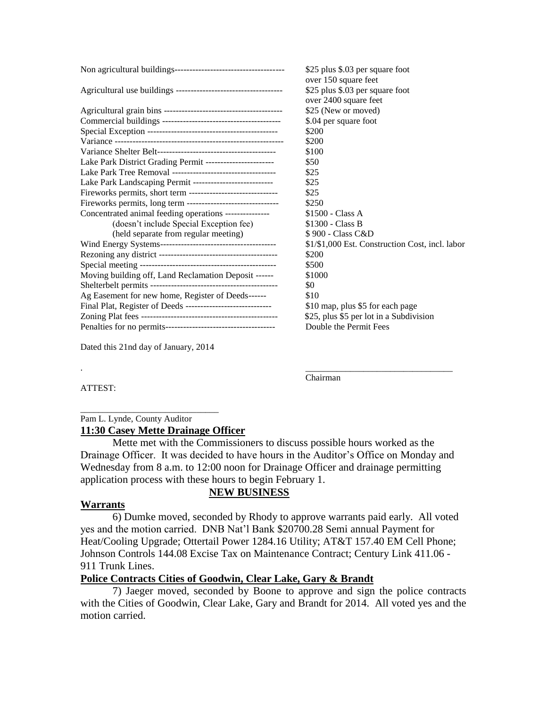|                                                                | \$25 plus \$.03 per square foot                 |
|----------------------------------------------------------------|-------------------------------------------------|
|                                                                | over 150 square feet                            |
|                                                                | \$25 plus \$.03 per square foot                 |
|                                                                | over 2400 square feet                           |
|                                                                | \$25 (New or moved)                             |
|                                                                | \$.04 per square foot                           |
|                                                                | \$200                                           |
|                                                                | \$200                                           |
|                                                                | \$100                                           |
| Lake Park District Grading Permit -----------------------      | \$50                                            |
|                                                                | \$25                                            |
| Lake Park Landscaping Permit ---------------------------       | \$25                                            |
| Fireworks permits, short term -------------------------------  | \$25                                            |
| Fireworks permits, long term --------------------------------- | \$250                                           |
| Concentrated animal feeding operations ---------------         | \$1500 - Class A                                |
| (doesn't include Special Exception fee)                        | \$1300 - Class B                                |
| (held separate from regular meeting)                           | \$900 - Class C&D                               |
|                                                                | \$1/\$1,000 Est. Construction Cost, incl. labor |
|                                                                | \$200                                           |
|                                                                | \$500                                           |
| Moving building off, Land Reclamation Deposit ------           | \$1000                                          |
|                                                                | \$0                                             |
| Ag Easement for new home, Register of Deeds------              | \$10                                            |
| Final Plat, Register of Deeds ------------------------------   | \$10 map, plus \$5 for each page                |
|                                                                | \$25, plus \$5 per lot in a Subdivision         |
|                                                                | Double the Permit Fees                          |
|                                                                |                                                 |

Dated this 21nd day of January, 2014

. \_\_\_\_\_\_\_\_\_\_\_\_\_\_\_\_\_\_\_\_\_\_\_\_\_\_\_\_\_\_\_\_\_ Chairman

ATTEST:

#### \_\_\_\_\_\_\_\_\_\_\_\_\_\_\_\_\_\_\_\_\_\_\_\_\_\_\_\_\_\_\_ Pam L. Lynde, County Auditor **11:30 Casey Mette Drainage Officer**

Mette met with the Commissioners to discuss possible hours worked as the Drainage Officer. It was decided to have hours in the Auditor's Office on Monday and Wednesday from 8 a.m. to 12:00 noon for Drainage Officer and drainage permitting application process with these hours to begin February 1.

## **NEW BUSINESS**

#### **Warrants**

6) Dumke moved, seconded by Rhody to approve warrants paid early. All voted yes and the motion carried. DNB Nat'l Bank \$20700.28 Semi annual Payment for Heat/Cooling Upgrade; Ottertail Power 1284.16 Utility; AT&T 157.40 EM Cell Phone; Johnson Controls 144.08 Excise Tax on Maintenance Contract; Century Link 411.06 - 911 Trunk Lines.

## **Police Contracts Cities of Goodwin, Clear Lake, Gary & Brandt**

7) Jaeger moved, seconded by Boone to approve and sign the police contracts with the Cities of Goodwin, Clear Lake, Gary and Brandt for 2014. All voted yes and the motion carried.